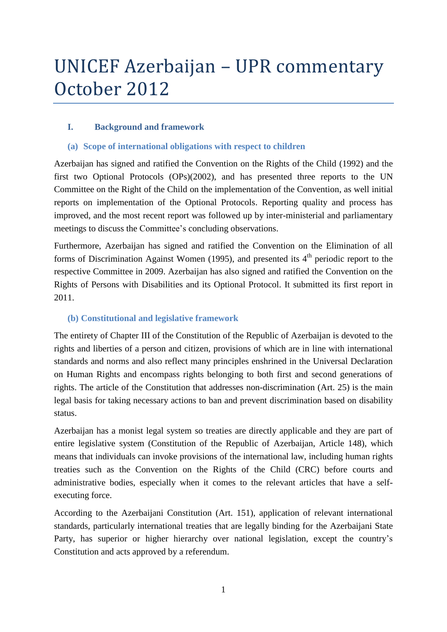# UNICEF Azerbaijan – UPR commentary October 2012

# **I. Background and framework**

# **(a) Scope of international obligations with respect to children**

Azerbaijan has signed and ratified the Convention on the Rights of the Child (1992) and the first two Optional Protocols (OPs)(2002), and has presented three reports to the UN Committee on the Right of the Child on the implementation of the Convention, as well initial reports on implementation of the Optional Protocols. Reporting quality and process has improved, and the most recent report was followed up by inter-ministerial and parliamentary meetings to discuss the Committee's concluding observations.

Furthermore, Azerbaijan has signed and ratified the Convention on the Elimination of all forms of Discrimination Against Women (1995), and presented its  $4<sup>th</sup>$  periodic report to the respective Committee in 2009. Azerbaijan has also signed and ratified the Convention on the Rights of Persons with Disabilities and its Optional Protocol. It submitted its first report in 2011.

#### **(b) Constitutional and legislative framework**

The entirety of Chapter III of the Constitution of the Republic of Azerbaijan is devoted to the rights and liberties of a person and citizen, provisions of which are in line with international standards and norms and also reflect many principles enshrined in the Universal Declaration on Human Rights and encompass rights belonging to both first and second generations of rights. The article of the Constitution that addresses non-discrimination (Art. 25) is the main legal basis for taking necessary actions to ban and prevent discrimination based on disability status.

Azerbaijan has a monist legal system so treaties are directly applicable and they are part of entire legislative system (Constitution of the Republic of Azerbaijan, Article 148), which means that individuals can invoke provisions of the international law, including human rights treaties such as the Convention on the Rights of the Child (CRC) before courts and administrative bodies, especially when it comes to the relevant articles that have a selfexecuting force.

According to the Azerbaijani Constitution (Art. 151), application of relevant international standards, particularly international treaties that are legally binding for the Azerbaijani State Party, has superior or higher hierarchy over national legislation, except the country's Constitution and acts approved by a referendum.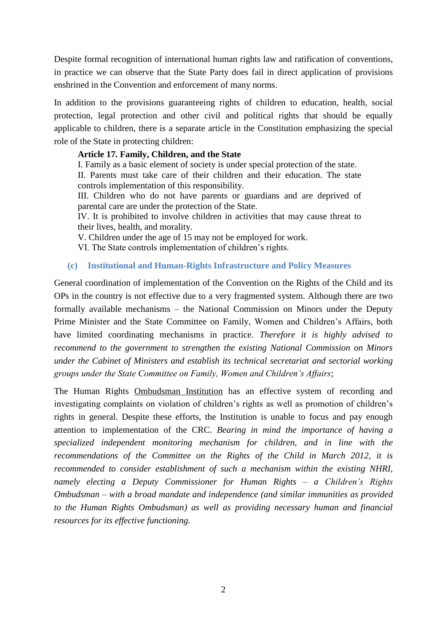Despite formal recognition of international human rights law and ratification of conventions, in practice we can observe that the State Party does fail in direct application of provisions enshrined in the Convention and enforcement of many norms.

In addition to the provisions guaranteeing rights of children to education, health, social protection, legal protection and other civil and political rights that should be equally applicable to children, there is a separate article in the Constitution emphasizing the special role of the State in protecting children:

#### **Article 17. Family, Children, and the State**

I. Family as a basic element of society is under special protection of the state. II. Parents must take care of their children and their education. The state controls implementation of this responsibility.

III. Children who do not have parents or guardians and are deprived of parental care are under the protection of the State.

IV. It is prohibited to involve children in activities that may cause threat to their lives, health, and morality.

V. Children under the age of 15 may not be employed for work.

VI. The State controls implementation of children's rights.

#### **(c) Institutional and Human-Rights Infrastructure and Policy Measures**

General coordination of implementation of the Convention on the Rights of the Child and its OPs in the country is not effective due to a very fragmented system. Although there are two formally available mechanisms – the National Commission on Minors under the Deputy Prime Minister and the State Committee on Family, Women and Children's Affairs, both have limited coordinating mechanisms in practice. *Therefore it is highly advised to recommend to the government to strengthen the existing National Commission on Minors under the Cabinet of Ministers and establish its technical secretariat and sectorial working groups under the State Committee on Family, Women and Children's Affairs*;

The Human Rights Ombudsman Institution has an effective system of recording and investigating complaints on violation of children's rights as well as promotion of children's rights in general. Despite these efforts, the Institution is unable to focus and pay enough attention to implementation of the CRC. *Bearing in mind the importance of having a specialized independent monitoring mechanism for children, and in line with the recommendations of the Committee on the Rights of the Child in March 2012, it is recommended to consider establishment of such a mechanism within the existing NHRI, namely electing a Deputy Commissioner for Human Rights – a Children's Rights Ombudsman – with a broad mandate and independence (and similar immunities as provided to the Human Rights Ombudsman) as well as providing necessary human and financial resources for its effective functioning.*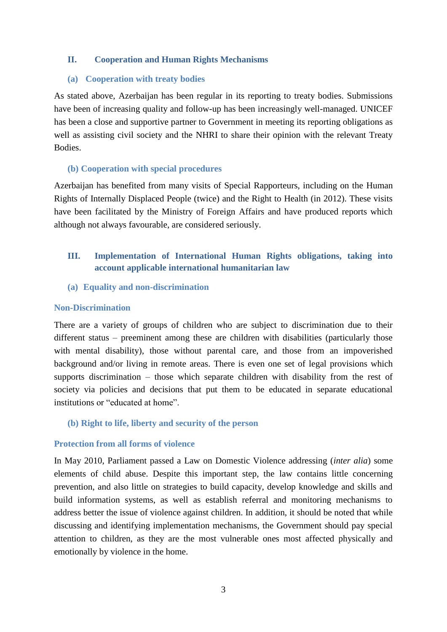# **II. Cooperation and Human Rights Mechanisms**

#### **(a) Cooperation with treaty bodies**

As stated above, Azerbaijan has been regular in its reporting to treaty bodies. Submissions have been of increasing quality and follow-up has been increasingly well-managed. UNICEF has been a close and supportive partner to Government in meeting its reporting obligations as well as assisting civil society and the NHRI to share their opinion with the relevant Treaty Bodies.

#### **(b) Cooperation with special procedures**

Azerbaijan has benefited from many visits of Special Rapporteurs, including on the Human Rights of Internally Displaced People (twice) and the Right to Health (in 2012). These visits have been facilitated by the Ministry of Foreign Affairs and have produced reports which although not always favourable, are considered seriously.

# **III. Implementation of International Human Rights obligations, taking into account applicable international humanitarian law**

**(a) Equality and non-discrimination**

#### **Non-Discrimination**

There are a variety of groups of children who are subject to discrimination due to their different status – preeminent among these are children with disabilities (particularly those with mental disability), those without parental care, and those from an impoverished background and/or living in remote areas. There is even one set of legal provisions which supports discrimination – those which separate children with disability from the rest of society via policies and decisions that put them to be educated in separate educational institutions or "educated at home".

#### **(b) Right to life, liberty and security of the person**

#### **Protection from all forms of violence**

In May 2010, Parliament passed a Law on Domestic Violence addressing (*inter alia*) some elements of child abuse. Despite this important step, the law contains little concerning prevention, and also little on strategies to build capacity, develop knowledge and skills and build information systems, as well as establish referral and monitoring mechanisms to address better the issue of violence against children. In addition, it should be noted that while discussing and identifying implementation mechanisms, the Government should pay special attention to children, as they are the most vulnerable ones most affected physically and emotionally by violence in the home.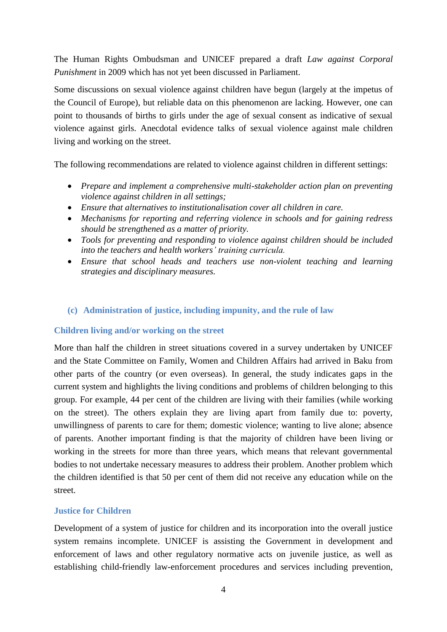The Human Rights Ombudsman and UNICEF prepared a draft *Law against Corporal Punishment* in 2009 which has not yet been discussed in Parliament.

Some discussions on sexual violence against children have begun (largely at the impetus of the Council of Europe), but reliable data on this phenomenon are lacking. However, one can point to thousands of births to girls under the age of sexual consent as indicative of sexual violence against girls. Anecdotal evidence talks of sexual violence against male children living and working on the street.

The following recommendations are related to violence against children in different settings:

- *Prepare and implement a comprehensive multi-stakeholder action plan on preventing violence against children in all settings;*
- *Ensure that alternatives to institutionalisation cover all children in care.*
- *Mechanisms for reporting and referring violence in schools and for gaining redress should be strengthened as a matter of priority.*
- *Tools for preventing and responding to violence against children should be included into the teachers and health workers' training curricula.*
- *Ensure that school heads and teachers use non-violent teaching and learning strategies and disciplinary measures.*

# **(c) Administration of justice, including impunity, and the rule of law**

#### **Children living and/or working on the street**

More than half the children in street situations covered in a survey undertaken by UNICEF and the State Committee on Family, Women and Children Affairs had arrived in Baku from other parts of the country (or even overseas). In general, the study indicates gaps in the current system and highlights the living conditions and problems of children belonging to this group. For example, 44 per cent of the children are living with their families (while working on the street). The others explain they are living apart from family due to: poverty, unwillingness of parents to care for them; domestic violence; wanting to live alone; absence of parents. Another important finding is that the majority of children have been living or working in the streets for more than three years, which means that relevant governmental bodies to not undertake necessary measures to address their problem. Another problem which the children identified is that 50 per cent of them did not receive any education while on the street.

# **Justice for Children**

Development of a system of justice for children and its incorporation into the overall justice system remains incomplete. UNICEF is assisting the Government in development and enforcement of laws and other regulatory normative acts on juvenile justice, as well as establishing child-friendly law-enforcement procedures and services including prevention,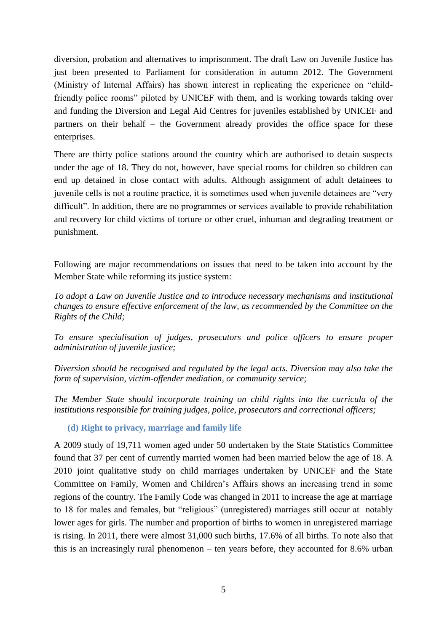diversion, probation and alternatives to imprisonment. The draft Law on Juvenile Justice has just been presented to Parliament for consideration in autumn 2012. The Government (Ministry of Internal Affairs) has shown interest in replicating the experience on "childfriendly police rooms" piloted by UNICEF with them, and is working towards taking over and funding the Diversion and Legal Aid Centres for juveniles established by UNICEF and partners on their behalf – the Government already provides the office space for these enterprises.

There are thirty police stations around the country which are authorised to detain suspects under the age of 18. They do not, however, have special rooms for children so children can end up detained in close contact with adults. Although assignment of adult detainees to juvenile cells is not a routine practice, it is sometimes used when juvenile detainees are "very difficult". In addition, there are no programmes or services available to provide rehabilitation and recovery for child victims of torture or other cruel, inhuman and degrading treatment or punishment.

Following are major recommendations on issues that need to be taken into account by the Member State while reforming its justice system:

*To adopt a Law on Juvenile Justice and to introduce necessary mechanisms and institutional changes to ensure effective enforcement of the law, as recommended by the Committee on the Rights of the Child;*

*To ensure specialisation of judges, prosecutors and police officers to ensure proper administration of juvenile justice;* 

*Diversion should be recognised and regulated by the legal acts. Diversion may also take the form of supervision, victim-offender mediation, or community service;*

*The Member State should incorporate training on child rights into the curricula of the institutions responsible for training judges, police, prosecutors and correctional officers;* 

**(d) Right to privacy, marriage and family life**

A 2009 study of 19,711 women aged under 50 undertaken by the State Statistics Committee found that 37 per cent of currently married women had been married below the age of 18. A 2010 joint qualitative study on child marriages undertaken by UNICEF and the State Committee on Family, Women and Children's Affairs shows an increasing trend in some regions of the country. The Family Code was changed in 2011 to increase the age at marriage to 18 for males and females, but "religious" (unregistered) marriages still occur at notably lower ages for girls. The number and proportion of births to women in unregistered marriage is rising. In 2011, there were almost 31,000 such births, 17.6% of all births. To note also that this is an increasingly rural phenomenon – ten years before, they accounted for 8.6% urban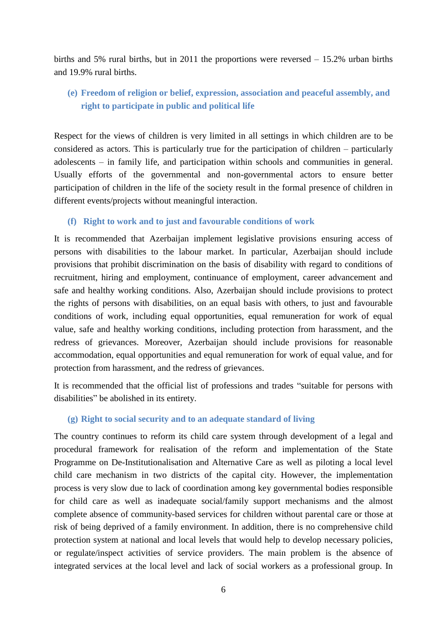births and 5% rural births, but in 2011 the proportions were reversed – 15.2% urban births and 19.9% rural births.

# **(e) Freedom of religion or belief, expression, association and peaceful assembly, and right to participate in public and political life**

Respect for the views of children is very limited in all settings in which children are to be considered as actors. This is particularly true for the participation of children – particularly adolescents – in family life, and participation within schools and communities in general. Usually efforts of the governmental and non-governmental actors to ensure better participation of children in the life of the society result in the formal presence of children in different events/projects without meaningful interaction.

#### **(f) Right to work and to just and favourable conditions of work**

It is recommended that Azerbaijan implement legislative provisions ensuring access of persons with disabilities to the labour market. In particular, Azerbaijan should include provisions that prohibit discrimination on the basis of disability with regard to conditions of recruitment, hiring and employment, continuance of employment, career advancement and safe and healthy working conditions. Also, Azerbaijan should include provisions to protect the rights of persons with disabilities, on an equal basis with others, to just and favourable conditions of work, including equal opportunities, equal remuneration for work of equal value, safe and healthy working conditions, including protection from harassment, and the redress of grievances. Moreover, Azerbaijan should include provisions for reasonable accommodation, equal opportunities and equal remuneration for work of equal value, and for protection from harassment, and the redress of grievances.

It is recommended that the official list of professions and trades "suitable for persons with disabilities" be abolished in its entirety.

#### **(g) Right to social security and to an adequate standard of living**

The country continues to reform its child care system through development of a legal and procedural framework for realisation of the reform and implementation of the State Programme on De-Institutionalisation and Alternative Care as well as piloting a local level child care mechanism in two districts of the capital city. However, the implementation process is very slow due to lack of coordination among key governmental bodies responsible for child care as well as inadequate social/family support mechanisms and the almost complete absence of community-based services for children without parental care or those at risk of being deprived of a family environment. In addition, there is no comprehensive child protection system at national and local levels that would help to develop necessary policies, or regulate/inspect activities of service providers. The main problem is the absence of integrated services at the local level and lack of social workers as a professional group. In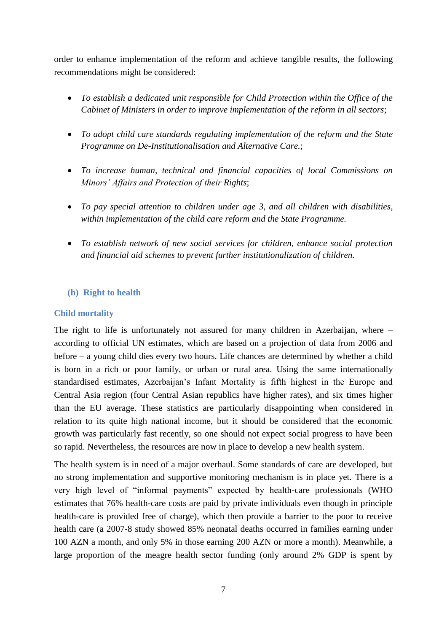order to enhance implementation of the reform and achieve tangible results, the following recommendations might be considered:

- *To establish a dedicated unit responsible for Child Protection within the Office of the Cabinet of Ministers in order to improve implementation of the reform in all sectors*;
- *To adopt child care standards regulating implementation of the reform and the State Programme on De-Institutionalisation and Alternative Care.*;
- *To increase human, technical and financial capacities of local Commissions on Minors' Affairs and Protection of their Rights*;
- *To pay special attention to children under age 3, and all children with disabilities, within implementation of the child care reform and the State Programme.*
- *To establish network of new social services for children, enhance social protection and financial aid schemes to prevent further institutionalization of children.*

# **(h) Right to health**

# **Child mortality**

The right to life is unfortunately not assured for many children in Azerbaijan, where – according to official UN estimates, which are based on a projection of data from 2006 and before – a young child dies every two hours. Life chances are determined by whether a child is born in a rich or poor family, or urban or rural area. Using the same internationally standardised estimates, Azerbaijan's Infant Mortality is fifth highest in the Europe and Central Asia region (four Central Asian republics have higher rates), and six times higher than the EU average. These statistics are particularly disappointing when considered in relation to its quite high national income, but it should be considered that the economic growth was particularly fast recently, so one should not expect social progress to have been so rapid. Nevertheless, the resources are now in place to develop a new health system.

The health system is in need of a major overhaul. Some standards of care are developed, but no strong implementation and supportive monitoring mechanism is in place yet. There is a very high level of "informal payments" expected by health-care professionals (WHO estimates that 76% health-care costs are paid by private individuals even though in principle health-care is provided free of charge), which then provide a barrier to the poor to receive health care (a 2007-8 study showed 85% neonatal deaths occurred in families earning under 100 AZN a month, and only 5% in those earning 200 AZN or more a month). Meanwhile, a large proportion of the meagre health sector funding (only around 2% GDP is spent by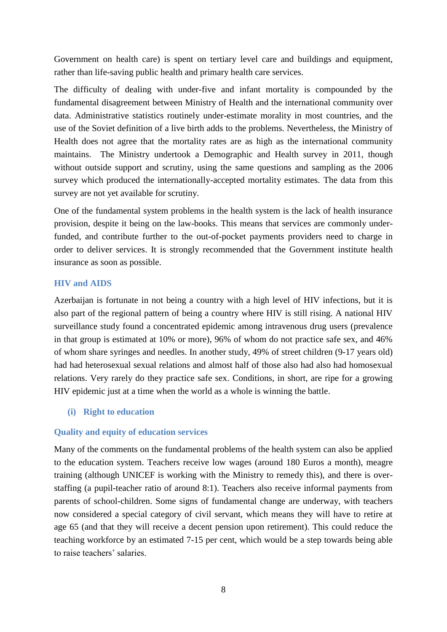Government on health care) is spent on tertiary level care and buildings and equipment, rather than life-saving public health and primary health care services.

The difficulty of dealing with under-five and infant mortality is compounded by the fundamental disagreement between Ministry of Health and the international community over data. Administrative statistics routinely under-estimate morality in most countries, and the use of the Soviet definition of a live birth adds to the problems. Nevertheless, the Ministry of Health does not agree that the mortality rates are as high as the international community maintains. The Ministry undertook a Demographic and Health survey in 2011, though without outside support and scrutiny, using the same questions and sampling as the 2006 survey which produced the internationally-accepted mortality estimates. The data from this survey are not yet available for scrutiny.

One of the fundamental system problems in the health system is the lack of health insurance provision, despite it being on the law-books. This means that services are commonly underfunded, and contribute further to the out-of-pocket payments providers need to charge in order to deliver services. It is strongly recommended that the Government institute health insurance as soon as possible.

#### **HIV and AIDS**

Azerbaijan is fortunate in not being a country with a high level of HIV infections, but it is also part of the regional pattern of being a country where HIV is still rising. A national HIV surveillance study found a concentrated epidemic among intravenous drug users (prevalence in that group is estimated at 10% or more), 96% of whom do not practice safe sex, and 46% of whom share syringes and needles. In another study, 49% of street children (9-17 years old) had had heterosexual sexual relations and almost half of those also had also had homosexual relations. Very rarely do they practice safe sex. Conditions, in short, are ripe for a growing HIV epidemic just at a time when the world as a whole is winning the battle.

#### **(i) Right to education**

#### **Quality and equity of education services**

Many of the comments on the fundamental problems of the health system can also be applied to the education system. Teachers receive low wages (around 180 Euros a month), meagre training (although UNICEF is working with the Ministry to remedy this), and there is overstaffing (a pupil-teacher ratio of around 8:1). Teachers also receive informal payments from parents of school-children. Some signs of fundamental change are underway, with teachers now considered a special category of civil servant, which means they will have to retire at age 65 (and that they will receive a decent pension upon retirement). This could reduce the teaching workforce by an estimated 7-15 per cent, which would be a step towards being able to raise teachers' salaries.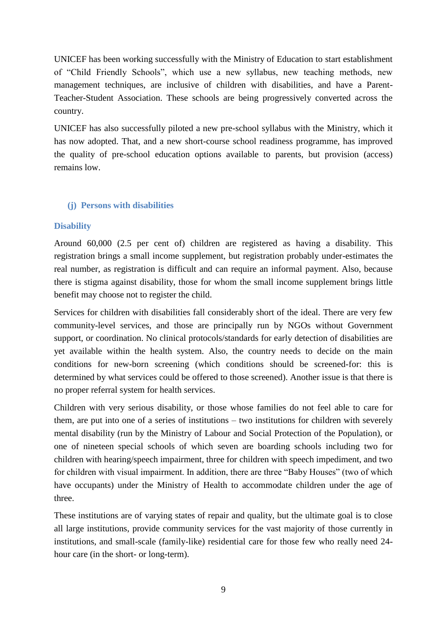UNICEF has been working successfully with the Ministry of Education to start establishment of "Child Friendly Schools", which use a new syllabus, new teaching methods, new management techniques, are inclusive of children with disabilities, and have a Parent-Teacher-Student Association. These schools are being progressively converted across the country.

UNICEF has also successfully piloted a new pre-school syllabus with the Ministry, which it has now adopted. That, and a new short-course school readiness programme, has improved the quality of pre-school education options available to parents, but provision (access) remains low.

# **(j) Persons with disabilities**

# **Disability**

Around 60,000 (2.5 per cent of) children are registered as having a disability. This registration brings a small income supplement, but registration probably under-estimates the real number, as registration is difficult and can require an informal payment. Also, because there is stigma against disability, those for whom the small income supplement brings little benefit may choose not to register the child.

Services for children with disabilities fall considerably short of the ideal. There are very few community-level services, and those are principally run by NGOs without Government support, or coordination. No clinical protocols/standards for early detection of disabilities are yet available within the health system. Also, the country needs to decide on the main conditions for new-born screening (which conditions should be screened-for: this is determined by what services could be offered to those screened). Another issue is that there is no proper referral system for health services.

Children with very serious disability, or those whose families do not feel able to care for them, are put into one of a series of institutions – two institutions for children with severely mental disability (run by the Ministry of Labour and Social Protection of the Population), or one of nineteen special schools of which seven are boarding schools including two for children with hearing/speech impairment, three for children with speech impediment, and two for children with visual impairment. In addition, there are three "Baby Houses" (two of which have occupants) under the Ministry of Health to accommodate children under the age of three.

These institutions are of varying states of repair and quality, but the ultimate goal is to close all large institutions, provide community services for the vast majority of those currently in institutions, and small-scale (family-like) residential care for those few who really need 24 hour care (in the short- or long-term).